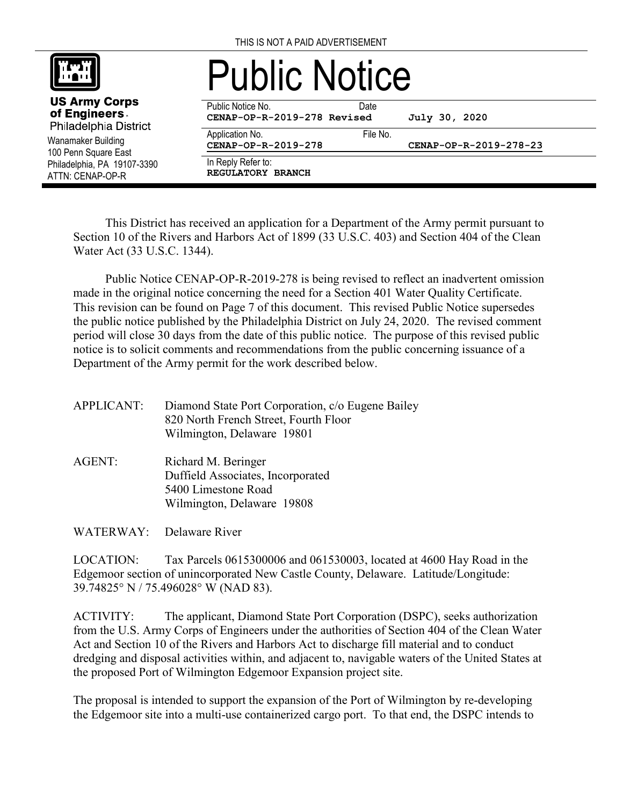

Wanamaker Building 100 Penn Square East Philadelphia, PA 19107-3390 ATTN: CENAP-OP-R

**US Army Corps** of Engineers. Philadelphia District

# Public Notice

Public Notice No. **Date CENAP-OP-R-2019-278 Revised July 30, 2020**

Application No. 6. The No. 6. The No.

**CENAP-OP-R-2019-278 CENAP-OP-R-2019-278-23**

In Reply Refer to: **REGULATORY BRANCH**

This District has received an application for a Department of the Army permit pursuant to Section 10 of the Rivers and Harbors Act of 1899 (33 U.S.C. 403) and Section 404 of the Clean Water Act (33 U.S.C. 1344).

Public Notice CENAP-OP-R-2019-278 is being revised to reflect an inadvertent omission made in the original notice concerning the need for a Section 401 Water Quality Certificate. This revision can be found on Page 7 of this document. This revised Public Notice supersedes the public notice published by the Philadelphia District on July 24, 2020. The revised comment period will close 30 days from the date of this public notice. The purpose of this revised public notice is to solicit comments and recommendations from the public concerning issuance of a Department of the Army permit for the work described below.

APPLICANT: Diamond State Port Corporation, c/o Eugene Bailey 820 North French Street, Fourth Floor Wilmington, Delaware 19801

AGENT: Richard M. Beringer Duffield Associates, Incorporated 5400 Limestone Road Wilmington, Delaware 19808

WATERWAY: Delaware River

LOCATION: Tax Parcels 0615300006 and 061530003, located at 4600 Hay Road in the Edgemoor section of unincorporated New Castle County, Delaware. Latitude/Longitude: 39.74825° N / 75.496028° W (NAD 83).

ACTIVITY: The applicant, Diamond State Port Corporation (DSPC), seeks authorization from the U.S. Army Corps of Engineers under the authorities of Section 404 of the Clean Water Act and Section 10 of the Rivers and Harbors Act to discharge fill material and to conduct dredging and disposal activities within, and adjacent to, navigable waters of the United States at the proposed Port of Wilmington Edgemoor Expansion project site.

The proposal is intended to support the expansion of the Port of Wilmington by re-developing the Edgemoor site into a multi-use containerized cargo port. To that end, the DSPC intends to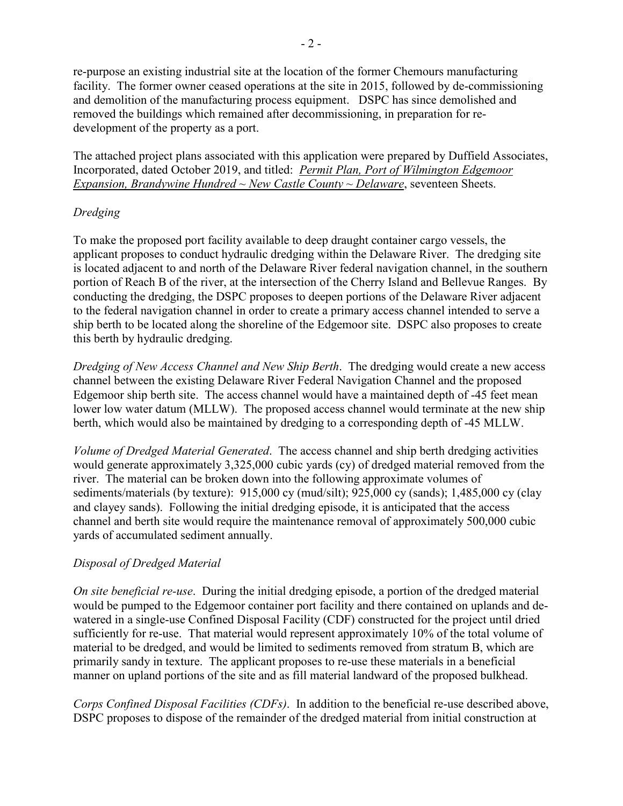re-purpose an existing industrial site at the location of the former Chemours manufacturing facility. The former owner ceased operations at the site in 2015, followed by de-commissioning and demolition of the manufacturing process equipment. DSPC has since demolished and removed the buildings which remained after decommissioning, in preparation for redevelopment of the property as a port.

The attached project plans associated with this application were prepared by Duffield Associates, Incorporated, dated October 2019, and titled: *Permit Plan, Port of Wilmington Edgemoor Expansion, Brandywine Hundred ~ New Castle County ~ Delaware*, seventeen Sheets.

#### *Dredging*

To make the proposed port facility available to deep draught container cargo vessels, the applicant proposes to conduct hydraulic dredging within the Delaware River. The dredging site is located adjacent to and north of the Delaware River federal navigation channel, in the southern portion of Reach B of the river, at the intersection of the Cherry Island and Bellevue Ranges. By conducting the dredging, the DSPC proposes to deepen portions of the Delaware River adjacent to the federal navigation channel in order to create a primary access channel intended to serve a ship berth to be located along the shoreline of the Edgemoor site. DSPC also proposes to create this berth by hydraulic dredging.

*Dredging of New Access Channel and New Ship Berth*. The dredging would create a new access channel between the existing Delaware River Federal Navigation Channel and the proposed Edgemoor ship berth site. The access channel would have a maintained depth of -45 feet mean lower low water datum (MLLW). The proposed access channel would terminate at the new ship berth, which would also be maintained by dredging to a corresponding depth of -45 MLLW.

*Volume of Dredged Material Generated*. The access channel and ship berth dredging activities would generate approximately 3,325,000 cubic yards (cy) of dredged material removed from the river. The material can be broken down into the following approximate volumes of sediments/materials (by texture): 915,000 cy (mud/silt); 925,000 cy (sands); 1,485,000 cy (clay and clayey sands). Following the initial dredging episode, it is anticipated that the access channel and berth site would require the maintenance removal of approximately 500,000 cubic yards of accumulated sediment annually.

## *Disposal of Dredged Material*

*On site beneficial re-use*. During the initial dredging episode, a portion of the dredged material would be pumped to the Edgemoor container port facility and there contained on uplands and dewatered in a single-use Confined Disposal Facility (CDF) constructed for the project until dried sufficiently for re-use. That material would represent approximately 10% of the total volume of material to be dredged, and would be limited to sediments removed from stratum B, which are primarily sandy in texture. The applicant proposes to re-use these materials in a beneficial manner on upland portions of the site and as fill material landward of the proposed bulkhead.

*Corps Confined Disposal Facilities (CDFs)*. In addition to the beneficial re-use described above, DSPC proposes to dispose of the remainder of the dredged material from initial construction at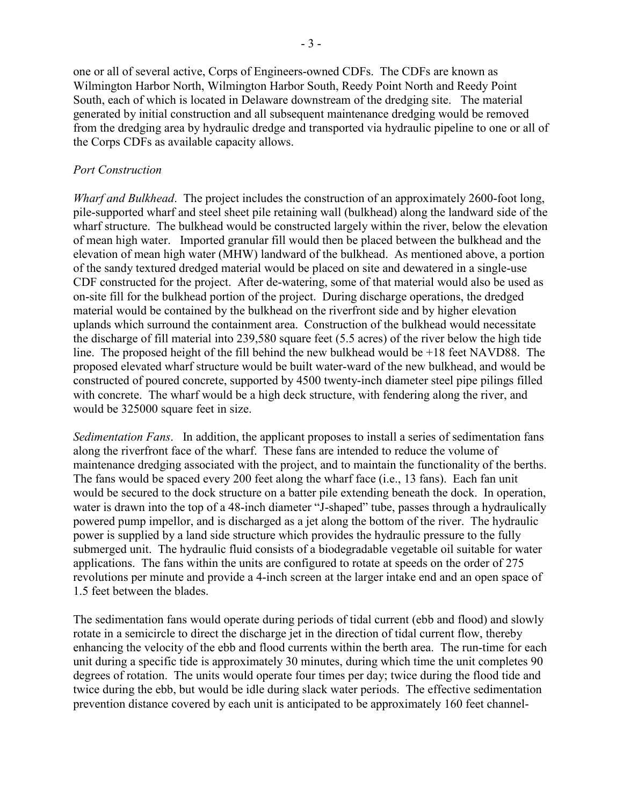one or all of several active, Corps of Engineers-owned CDFs. The CDFs are known as Wilmington Harbor North, Wilmington Harbor South, Reedy Point North and Reedy Point South, each of which is located in Delaware downstream of the dredging site. The material generated by initial construction and all subsequent maintenance dredging would be removed from the dredging area by hydraulic dredge and transported via hydraulic pipeline to one or all of the Corps CDFs as available capacity allows.

#### *Port Construction*

*Wharf and Bulkhead*. The project includes the construction of an approximately 2600-foot long, pile-supported wharf and steel sheet pile retaining wall (bulkhead) along the landward side of the wharf structure. The bulkhead would be constructed largely within the river, below the elevation of mean high water. Imported granular fill would then be placed between the bulkhead and the elevation of mean high water (MHW) landward of the bulkhead. As mentioned above, a portion of the sandy textured dredged material would be placed on site and dewatered in a single-use CDF constructed for the project. After de-watering, some of that material would also be used as on-site fill for the bulkhead portion of the project. During discharge operations, the dredged material would be contained by the bulkhead on the riverfront side and by higher elevation uplands which surround the containment area. Construction of the bulkhead would necessitate the discharge of fill material into 239,580 square feet (5.5 acres) of the river below the high tide line. The proposed height of the fill behind the new bulkhead would be +18 feet NAVD88. The proposed elevated wharf structure would be built water-ward of the new bulkhead, and would be constructed of poured concrete, supported by 4500 twenty-inch diameter steel pipe pilings filled with concrete. The wharf would be a high deck structure, with fendering along the river, and would be 325000 square feet in size.

*Sedimentation Fans*. In addition, the applicant proposes to install a series of sedimentation fans along the riverfront face of the wharf. These fans are intended to reduce the volume of maintenance dredging associated with the project, and to maintain the functionality of the berths. The fans would be spaced every 200 feet along the wharf face (i.e., 13 fans). Each fan unit would be secured to the dock structure on a batter pile extending beneath the dock. In operation, water is drawn into the top of a 48-inch diameter "J-shaped" tube, passes through a hydraulically powered pump impellor, and is discharged as a jet along the bottom of the river. The hydraulic power is supplied by a land side structure which provides the hydraulic pressure to the fully submerged unit. The hydraulic fluid consists of a biodegradable vegetable oil suitable for water applications. The fans within the units are configured to rotate at speeds on the order of 275 revolutions per minute and provide a 4-inch screen at the larger intake end and an open space of 1.5 feet between the blades.

The sedimentation fans would operate during periods of tidal current (ebb and flood) and slowly rotate in a semicircle to direct the discharge jet in the direction of tidal current flow, thereby enhancing the velocity of the ebb and flood currents within the berth area. The run-time for each unit during a specific tide is approximately 30 minutes, during which time the unit completes 90 degrees of rotation. The units would operate four times per day; twice during the flood tide and twice during the ebb, but would be idle during slack water periods. The effective sedimentation prevention distance covered by each unit is anticipated to be approximately 160 feet channel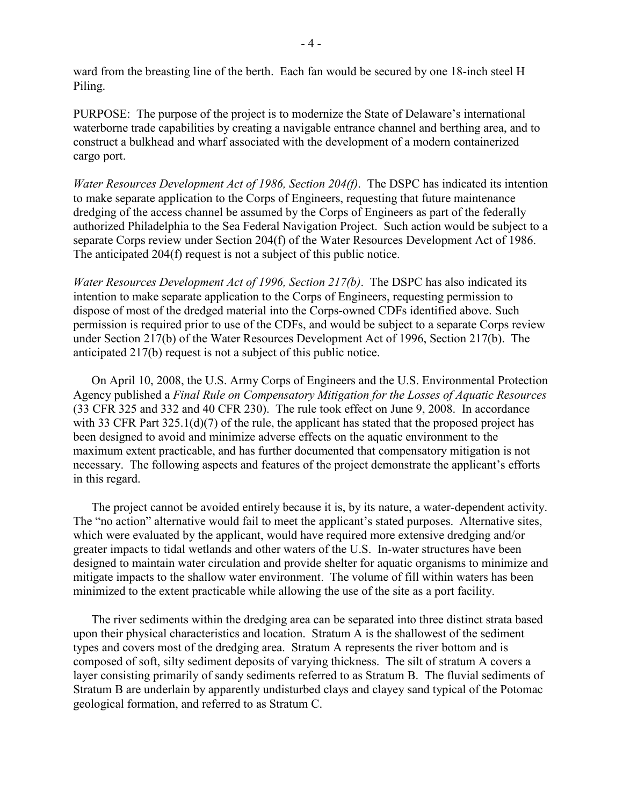ward from the breasting line of the berth. Each fan would be secured by one 18-inch steel H Piling.

PURPOSE: The purpose of the project is to modernize the State of Delaware's international waterborne trade capabilities by creating a navigable entrance channel and berthing area, and to construct a bulkhead and wharf associated with the development of a modern containerized cargo port.

*Water Resources Development Act of 1986, Section 204(f)*. The DSPC has indicated its intention to make separate application to the Corps of Engineers, requesting that future maintenance dredging of the access channel be assumed by the Corps of Engineers as part of the federally authorized Philadelphia to the Sea Federal Navigation Project. Such action would be subject to a separate Corps review under Section 204(f) of the Water Resources Development Act of 1986. The anticipated 204(f) request is not a subject of this public notice.

*Water Resources Development Act of 1996, Section 217(b)*. The DSPC has also indicated its intention to make separate application to the Corps of Engineers, requesting permission to dispose of most of the dredged material into the Corps-owned CDFs identified above. Such permission is required prior to use of the CDFs, and would be subject to a separate Corps review under Section 217(b) of the Water Resources Development Act of 1996, Section 217(b). The anticipated 217(b) request is not a subject of this public notice.

On April 10, 2008, the U.S. Army Corps of Engineers and the U.S. Environmental Protection Agency published a *Final Rule on Compensatory Mitigation for the Losses of Aquatic Resources*  (33 CFR 325 and 332 and 40 CFR 230). The rule took effect on June 9, 2008. In accordance with 33 CFR Part 325.1(d)(7) of the rule, the applicant has stated that the proposed project has been designed to avoid and minimize adverse effects on the aquatic environment to the maximum extent practicable, and has further documented that compensatory mitigation is not necessary. The following aspects and features of the project demonstrate the applicant's efforts in this regard.

The project cannot be avoided entirely because it is, by its nature, a water-dependent activity. The "no action" alternative would fail to meet the applicant's stated purposes. Alternative sites, which were evaluated by the applicant, would have required more extensive dredging and/or greater impacts to tidal wetlands and other waters of the U.S. In-water structures have been designed to maintain water circulation and provide shelter for aquatic organisms to minimize and mitigate impacts to the shallow water environment. The volume of fill within waters has been minimized to the extent practicable while allowing the use of the site as a port facility.

The river sediments within the dredging area can be separated into three distinct strata based upon their physical characteristics and location. Stratum A is the shallowest of the sediment types and covers most of the dredging area. Stratum A represents the river bottom and is composed of soft, silty sediment deposits of varying thickness. The silt of stratum A covers a layer consisting primarily of sandy sediments referred to as Stratum B. The fluvial sediments of Stratum B are underlain by apparently undisturbed clays and clayey sand typical of the Potomac geological formation, and referred to as Stratum C.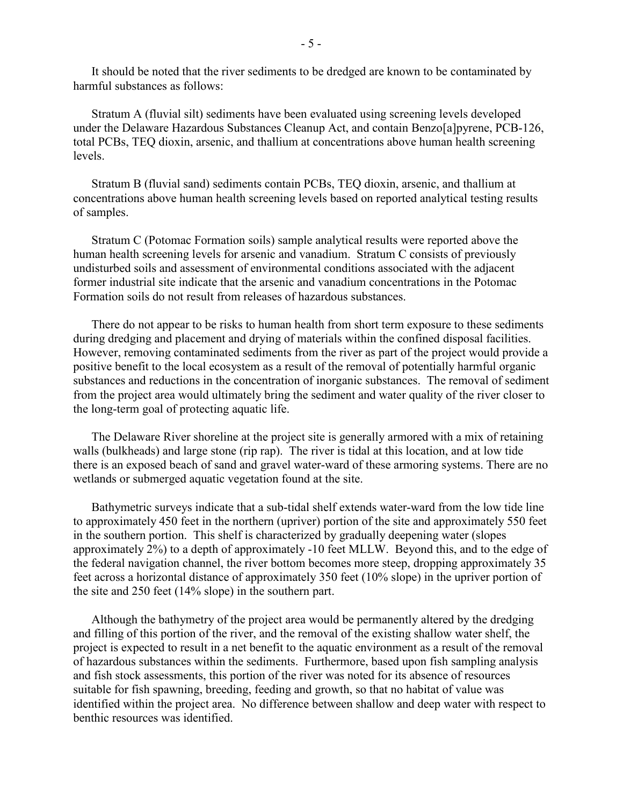It should be noted that the river sediments to be dredged are known to be contaminated by harmful substances as follows:

Stratum A (fluvial silt) sediments have been evaluated using screening levels developed under the Delaware Hazardous Substances Cleanup Act, and contain Benzo[a]pyrene, PCB-126, total PCBs, TEQ dioxin, arsenic, and thallium at concentrations above human health screening levels.

Stratum B (fluvial sand) sediments contain PCBs, TEQ dioxin, arsenic, and thallium at concentrations above human health screening levels based on reported analytical testing results of samples.

Stratum C (Potomac Formation soils) sample analytical results were reported above the human health screening levels for arsenic and vanadium. Stratum C consists of previously undisturbed soils and assessment of environmental conditions associated with the adjacent former industrial site indicate that the arsenic and vanadium concentrations in the Potomac Formation soils do not result from releases of hazardous substances.

There do not appear to be risks to human health from short term exposure to these sediments during dredging and placement and drying of materials within the confined disposal facilities. However, removing contaminated sediments from the river as part of the project would provide a positive benefit to the local ecosystem as a result of the removal of potentially harmful organic substances and reductions in the concentration of inorganic substances. The removal of sediment from the project area would ultimately bring the sediment and water quality of the river closer to the long-term goal of protecting aquatic life.

The Delaware River shoreline at the project site is generally armored with a mix of retaining walls (bulkheads) and large stone (rip rap). The river is tidal at this location, and at low tide there is an exposed beach of sand and gravel water-ward of these armoring systems. There are no wetlands or submerged aquatic vegetation found at the site.

Bathymetric surveys indicate that a sub-tidal shelf extends water-ward from the low tide line to approximately 450 feet in the northern (upriver) portion of the site and approximately 550 feet in the southern portion. This shelf is characterized by gradually deepening water (slopes approximately 2%) to a depth of approximately -10 feet MLLW. Beyond this, and to the edge of the federal navigation channel, the river bottom becomes more steep, dropping approximately 35 feet across a horizontal distance of approximately 350 feet (10% slope) in the upriver portion of the site and 250 feet (14% slope) in the southern part.

Although the bathymetry of the project area would be permanently altered by the dredging and filling of this portion of the river, and the removal of the existing shallow water shelf, the project is expected to result in a net benefit to the aquatic environment as a result of the removal of hazardous substances within the sediments. Furthermore, based upon fish sampling analysis and fish stock assessments, this portion of the river was noted for its absence of resources suitable for fish spawning, breeding, feeding and growth, so that no habitat of value was identified within the project area. No difference between shallow and deep water with respect to benthic resources was identified.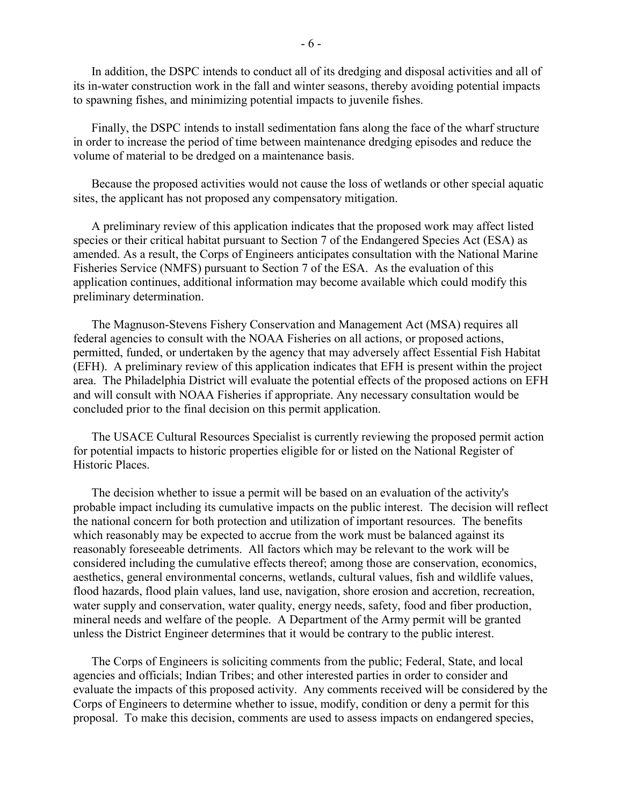In addition, the DSPC intends to conduct all of its dredging and disposal activities and all of its in-water construction work in the fall and winter seasons, thereby avoiding potential impacts to spawning fishes, and minimizing potential impacts to juvenile fishes.

Finally, the DSPC intends to install sedimentation fans along the face of the wharf structure in order to increase the period of time between maintenance dredging episodes and reduce the volume of material to be dredged on a maintenance basis.

Because the proposed activities would not cause the loss of wetlands or other special aquatic sites, the applicant has not proposed any compensatory mitigation.

A preliminary review of this application indicates that the proposed work may affect listed species or their critical habitat pursuant to Section 7 of the Endangered Species Act (ESA) as amended. As a result, the Corps of Engineers anticipates consultation with the National Marine Fisheries Service (NMFS) pursuant to Section 7 of the ESA. As the evaluation of this application continues, additional information may become available which could modify this preliminary determination.

The Magnuson-Stevens Fishery Conservation and Management Act (MSA) requires all federal agencies to consult with the NOAA Fisheries on all actions, or proposed actions, permitted, funded, or undertaken by the agency that may adversely affect Essential Fish Habitat (EFH). A preliminary review of this application indicates that EFH is present within the project area. The Philadelphia District will evaluate the potential effects of the proposed actions on EFH and will consult with NOAA Fisheries if appropriate. Any necessary consultation would be concluded prior to the final decision on this permit application.

The USACE Cultural Resources Specialist is currently reviewing the proposed permit action for potential impacts to historic properties eligible for or listed on the National Register of Historic Places.

The decision whether to issue a permit will be based on an evaluation of the activity's probable impact including its cumulative impacts on the public interest. The decision will reflect the national concern for both protection and utilization of important resources. The benefits which reasonably may be expected to accrue from the work must be balanced against its reasonably foreseeable detriments. All factors which may be relevant to the work will be considered including the cumulative effects thereof; among those are conservation, economics, aesthetics, general environmental concerns, wetlands, cultural values, fish and wildlife values, flood hazards, flood plain values, land use, navigation, shore erosion and accretion, recreation, water supply and conservation, water quality, energy needs, safety, food and fiber production, mineral needs and welfare of the people. A Department of the Army permit will be granted unless the District Engineer determines that it would be contrary to the public interest.

The Corps of Engineers is soliciting comments from the public; Federal, State, and local agencies and officials; Indian Tribes; and other interested parties in order to consider and evaluate the impacts of this proposed activity. Any comments received will be considered by the Corps of Engineers to determine whether to issue, modify, condition or deny a permit for this proposal. To make this decision, comments are used to assess impacts on endangered species,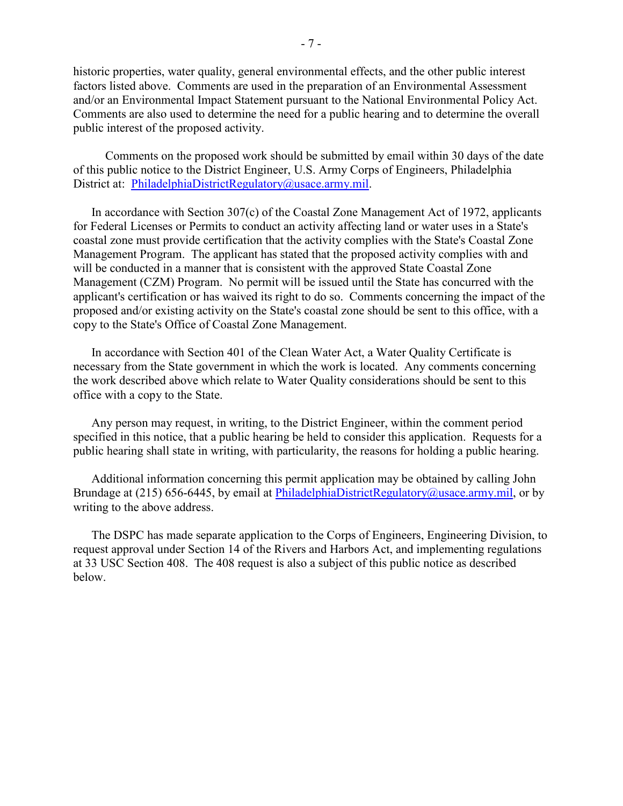historic properties, water quality, general environmental effects, and the other public interest factors listed above. Comments are used in the preparation of an Environmental Assessment and/or an Environmental Impact Statement pursuant to the National Environmental Policy Act. Comments are also used to determine the need for a public hearing and to determine the overall public interest of the proposed activity.

Comments on the proposed work should be submitted by email within 30 days of the date of this public notice to the District Engineer, U.S. Army Corps of Engineers, Philadelphia District at: [PhiladelphiaDistrictRegulatory@usace.army.mil.](mailto:PhiladelphiaDistrictRegulatory@usace.army.mil)

In accordance with Section 307(c) of the Coastal Zone Management Act of 1972, applicants for Federal Licenses or Permits to conduct an activity affecting land or water uses in a State's coastal zone must provide certification that the activity complies with the State's Coastal Zone Management Program. The applicant has stated that the proposed activity complies with and will be conducted in a manner that is consistent with the approved State Coastal Zone Management (CZM) Program. No permit will be issued until the State has concurred with the applicant's certification or has waived its right to do so. Comments concerning the impact of the proposed and/or existing activity on the State's coastal zone should be sent to this office, with a copy to the State's Office of Coastal Zone Management.

In accordance with Section 401 of the Clean Water Act, a Water Quality Certificate is necessary from the State government in which the work is located. Any comments concerning the work described above which relate to Water Quality considerations should be sent to this office with a copy to the State.

Any person may request, in writing, to the District Engineer, within the comment period specified in this notice, that a public hearing be held to consider this application. Requests for a public hearing shall state in writing, with particularity, the reasons for holding a public hearing.

Additional information concerning this permit application may be obtained by calling John Brundage at (215) 656-6445, by email at [PhiladelphiaDistrictRegulatory@usace.army.mil,](mailto:PhiladelphiaDistrictRegulatory@usace.army.mil) or by writing to the above address.

The DSPC has made separate application to the Corps of Engineers, Engineering Division, to request approval under Section 14 of the Rivers and Harbors Act, and implementing regulations at 33 USC Section 408. The 408 request is also a subject of this public notice as described below.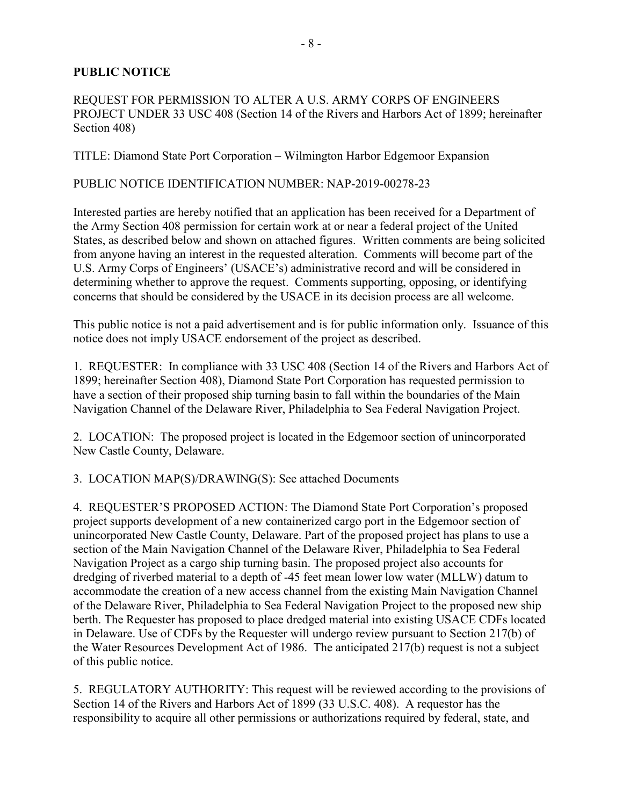# **PUBLIC NOTICE**

## REQUEST FOR PERMISSION TO ALTER A U.S. ARMY CORPS OF ENGINEERS PROJECT UNDER 33 USC 408 (Section 14 of the Rivers and Harbors Act of 1899; hereinafter Section 408)

TITLE: Diamond State Port Corporation – Wilmington Harbor Edgemoor Expansion

#### PUBLIC NOTICE IDENTIFICATION NUMBER: NAP-2019-00278-23

Interested parties are hereby notified that an application has been received for a Department of the Army Section 408 permission for certain work at or near a federal project of the United States, as described below and shown on attached figures. Written comments are being solicited from anyone having an interest in the requested alteration. Comments will become part of the U.S. Army Corps of Engineers' (USACE's) administrative record and will be considered in determining whether to approve the request. Comments supporting, opposing, or identifying concerns that should be considered by the USACE in its decision process are all welcome.

This public notice is not a paid advertisement and is for public information only. Issuance of this notice does not imply USACE endorsement of the project as described.

1. REQUESTER: In compliance with 33 USC 408 (Section 14 of the Rivers and Harbors Act of 1899; hereinafter Section 408), Diamond State Port Corporation has requested permission to have a section of their proposed ship turning basin to fall within the boundaries of the Main Navigation Channel of the Delaware River, Philadelphia to Sea Federal Navigation Project.

2. LOCATION: The proposed project is located in the Edgemoor section of unincorporated New Castle County, Delaware.

3. LOCATION MAP(S)/DRAWING(S): See attached Documents

4. REQUESTER'S PROPOSED ACTION: The Diamond State Port Corporation's proposed project supports development of a new containerized cargo port in the Edgemoor section of unincorporated New Castle County, Delaware. Part of the proposed project has plans to use a section of the Main Navigation Channel of the Delaware River, Philadelphia to Sea Federal Navigation Project as a cargo ship turning basin. The proposed project also accounts for dredging of riverbed material to a depth of -45 feet mean lower low water (MLLW) datum to accommodate the creation of a new access channel from the existing Main Navigation Channel of the Delaware River, Philadelphia to Sea Federal Navigation Project to the proposed new ship berth. The Requester has proposed to place dredged material into existing USACE CDFs located in Delaware. Use of CDFs by the Requester will undergo review pursuant to Section 217(b) of the Water Resources Development Act of 1986. The anticipated 217(b) request is not a subject of this public notice.

5. REGULATORY AUTHORITY: This request will be reviewed according to the provisions of Section 14 of the Rivers and Harbors Act of 1899 (33 U.S.C. 408). A requestor has the responsibility to acquire all other permissions or authorizations required by federal, state, and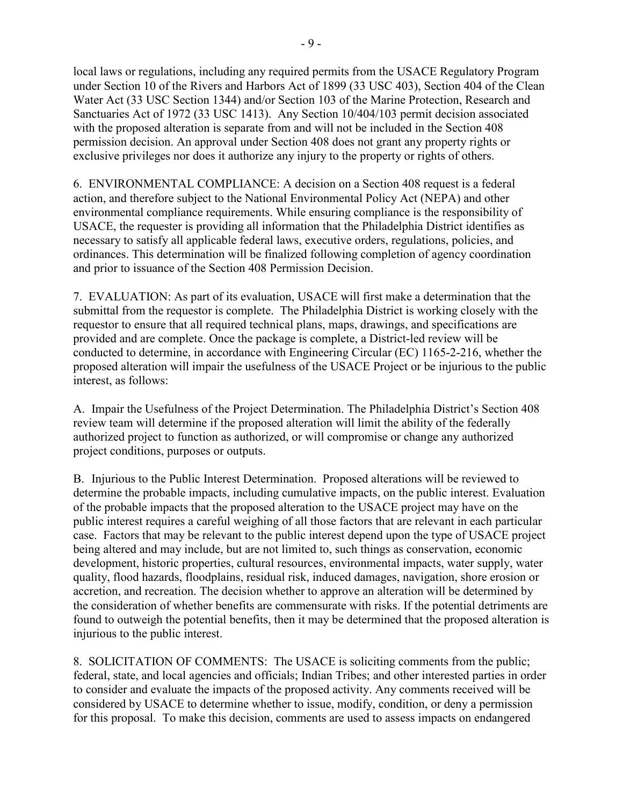local laws or regulations, including any required permits from the USACE Regulatory Program under Section 10 of the Rivers and Harbors Act of 1899 (33 USC 403), Section 404 of the Clean Water Act (33 USC Section 1344) and/or Section 103 of the Marine Protection, Research and Sanctuaries Act of 1972 (33 USC 1413). Any Section 10/404/103 permit decision associated with the proposed alteration is separate from and will not be included in the Section 408 permission decision. An approval under Section 408 does not grant any property rights or exclusive privileges nor does it authorize any injury to the property or rights of others.

6. ENVIRONMENTAL COMPLIANCE: A decision on a Section 408 request is a federal action, and therefore subject to the National Environmental Policy Act (NEPA) and other environmental compliance requirements. While ensuring compliance is the responsibility of USACE, the requester is providing all information that the Philadelphia District identifies as necessary to satisfy all applicable federal laws, executive orders, regulations, policies, and ordinances. This determination will be finalized following completion of agency coordination and prior to issuance of the Section 408 Permission Decision.

7. EVALUATION: As part of its evaluation, USACE will first make a determination that the submittal from the requestor is complete. The Philadelphia District is working closely with the requestor to ensure that all required technical plans, maps, drawings, and specifications are provided and are complete. Once the package is complete, a District-led review will be conducted to determine, in accordance with Engineering Circular (EC) 1165-2-216, whether the proposed alteration will impair the usefulness of the USACE Project or be injurious to the public interest, as follows:

A. Impair the Usefulness of the Project Determination. The Philadelphia District's Section 408 review team will determine if the proposed alteration will limit the ability of the federally authorized project to function as authorized, or will compromise or change any authorized project conditions, purposes or outputs.

B. Injurious to the Public Interest Determination. Proposed alterations will be reviewed to determine the probable impacts, including cumulative impacts, on the public interest. Evaluation of the probable impacts that the proposed alteration to the USACE project may have on the public interest requires a careful weighing of all those factors that are relevant in each particular case. Factors that may be relevant to the public interest depend upon the type of USACE project being altered and may include, but are not limited to, such things as conservation, economic development, historic properties, cultural resources, environmental impacts, water supply, water quality, flood hazards, floodplains, residual risk, induced damages, navigation, shore erosion or accretion, and recreation. The decision whether to approve an alteration will be determined by the consideration of whether benefits are commensurate with risks. If the potential detriments are found to outweigh the potential benefits, then it may be determined that the proposed alteration is injurious to the public interest.

8. SOLICITATION OF COMMENTS: The USACE is soliciting comments from the public; federal, state, and local agencies and officials; Indian Tribes; and other interested parties in order to consider and evaluate the impacts of the proposed activity. Any comments received will be considered by USACE to determine whether to issue, modify, condition, or deny a permission for this proposal. To make this decision, comments are used to assess impacts on endangered